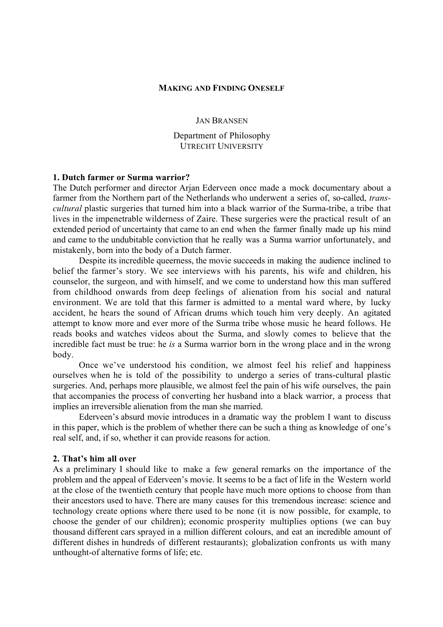#### **MAKING AND FINDING ONESELF**

JAN BRANSEN

### Department of Philosophy UTRECHT UNIVERSITY

# **1. Dutch farmer or Surma warrior?**

The Dutch performer and director Arjan Ederveen once made a mock documentary about a farmer from the Northern part of the Netherlands who underwent a series of, so-called, *transcultural* plastic surgeries that turned him into a black warrior of the Surma-tribe, a tribe that lives in the impenetrable wilderness of Zaire. These surgeries were the practical result of an extended period of uncertainty that came to an end when the farmer finally made up his mind and came to the undubitable conviction that he really was a Surma warrior unfortunately, and mistakenly, born into the body of a Dutch farmer.

Despite its incredible queerness, the movie succeeds in making the audience inclined to belief the farmer's story. We see interviews with his parents, his wife and children, his counselor, the surgeon, and with himself, and we come to understand how this man suffered from childhood onwards from deep feelings of alienation from his social and natural environment. We are told that this farmer is admitted to a mental ward where, by lucky accident, he hears the sound of African drums which touch him very deeply. An agitated attempt to know more and ever more of the Surma tribe whose music he heard follows. He reads books and watches videos about the Surma, and slowly comes to believe that the incredible fact must be true: he *is* a Surma warrior born in the wrong place and in the wrong body.

Once we've understood his condition, we almost feel his relief and happiness ourselves when he is told of the possibility to undergo a series of trans-cultural plastic surgeries. And, perhaps more plausible, we almost feel the pain of his wife ourselves, the pain that accompanies the process of converting her husband into a black warrior, a process that implies an irreversible alienation from the man she married.

Ederveen's absurd movie introduces in a dramatic way the problem I want to discuss in this paper, which is the problem of whether there can be such a thing as knowledge of one's real self, and, if so, whether it can provide reasons for action.

#### **2. That's him all over**

As a preliminary I should like to make a few general remarks on the importance of the problem and the appeal of Ederveen's movie. It seems to be a fact of life in the Western world at the close of the twentieth century that people have much more options to choose from than their ancestors used to have. There are many causes for this tremendous increase: science and technology create options where there used to be none (it is now possible, for example, to choose the gender of our children); economic prosperity multiplies options (we can buy thousand different cars sprayed in a million different colours, and eat an incredible amount of different dishes in hundreds of different restaurants); globalization confronts us with many unthought-of alternative forms of life; etc.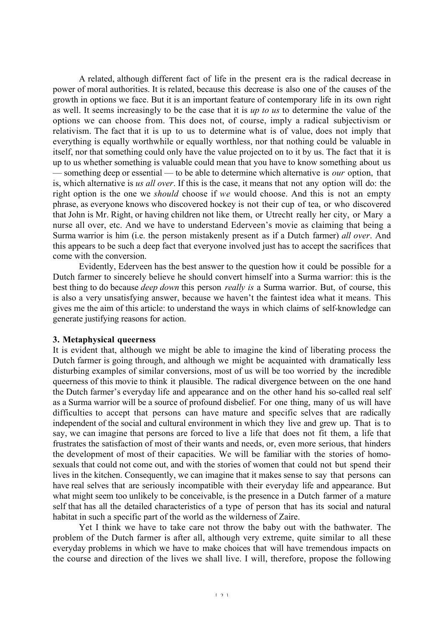A related, although different fact of life in the present era is the radical decrease in power of moral authorities. It is related, because this decrease is also one of the causes of the growth in options we face. But it is an important feature of contemporary life in its own right as well. It seems increasingly to be the case that it is *up to us* to determine the value of the options we can choose from. This does not, of course, imply a radical subjectivism or relativism. The fact that it is up to us to determine what is of value, does not imply that everything is equally worthwhile or equally worthless, nor that nothing could be valuable in itself, nor that something could only have the value projected on to it by us. The fact that it is up to us whether something is valuable could mean that you have to know something about us — something deep or essential — to be able to determine which alternative is *our* option, that is, which alternative is *us all over*. If this is the case, it means that not any option will do: the right option is the one we *should* choose if *we* would choose. And this is not an empty phrase, as everyone knows who discovered hockey is not their cup of tea, or who discovered that John is Mr. Right, or having children not like them, or Utrecht really her city, or Mary a nurse all over, etc. And we have to understand Ederveen's movie as claiming that being a Surma warrior is him (i.e. the person mistakenly present as if a Dutch farmer) *all over*. And this appears to be such a deep fact that everyone involved just has to accept the sacrifices that come with the conversion.

Evidently, Ederveen has the best answer to the question how it could be possible for a Dutch farmer to sincerely believe he should convert himself into a Surma warrior: this is the best thing to do because *deep down* this person *really is* a Surma warrior. But, of course, this is also a very unsatisfying answer, because we haven't the faintest idea what it means. This gives me the aim of this article: to understand the ways in which claims of self-knowledge can generate justifying reasons for action.

## **3. Metaphysical queerness**

It is evident that, although we might be able to imagine the kind of liberating process the Dutch farmer is going through, and although we might be acquainted with dramatically less disturbing examples of similar conversions, most of us will be too worried by the incredible queerness of this movie to think it plausible. The radical divergence between on the one hand the Dutch farmer's everyday life and appearance and on the other hand his so-called real self as a Surma warrior will be a source of profound disbelief. For one thing, many of us will have difficulties to accept that persons can have mature and specific selves that are radically independent of the social and cultural environment in which they live and grew up. That is to say, we can imagine that persons are forced to live a life that does not fit them, a life that frustrates the satisfaction of most of their wants and needs, or, even more serious, that hinders the development of most of their capacities. We will be familiar with the stories of homosexuals that could not come out, and with the stories of women that could not but spend their lives in the kitchen. Consequently, we can imagine that it makes sense to say that persons can have real selves that are seriously incompatible with their everyday life and appearance. But what might seem too unlikely to be conceivable, is the presence in a Dutch farmer of a mature self that has all the detailed characteristics of a type of person that has its social and natural habitat in such a specific part of the world as the wilderness of Zaire.

Yet I think we have to take care not throw the baby out with the bathwater. The problem of the Dutch farmer is after all, although very extreme, quite similar to all these everyday problems in which we have to make choices that will have tremendous impacts on the course and direction of the lives we shall live. I will, therefore, propose the following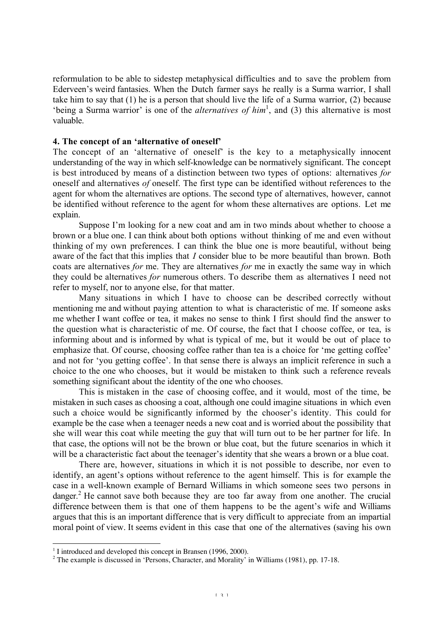reformulation to be able to sidestep metaphysical difficulties and to save the problem from Ederveen's weird fantasies. When the Dutch farmer says he really is a Surma warrior, I shall take him to say that (1) he is a person that should live the life of a Surma warrior, (2) because 'being a Surma warrior' is one of the *alternatives of him*<sup>1</sup> , and (3) this alternative is most valuable.

### **4. The concept of an 'alternative of oneself'**

The concept of an 'alternative of oneself' is the key to a metaphysically innocent understanding of the way in which self-knowledge can be normatively significant. The concept is best introduced by means of a distinction between two types of options: alternatives *for* oneself and alternatives *of* oneself. The first type can be identified without references to the agent for whom the alternatives are options. The second type of alternatives, however, cannot be identified without reference to the agent for whom these alternatives are options. Let me explain.

Suppose I'm looking for a new coat and am in two minds about whether to choose a brown or a blue one. I can think about both options without thinking of me and even without thinking of my own preferences. I can think the blue one is more beautiful, without being aware of the fact that this implies that *I* consider blue to be more beautiful than brown. Both coats are alternatives *for* me. They are alternatives *for* me in exactly the same way in which they could be alternatives *for* numerous others. To describe them as alternatives I need not refer to myself, nor to anyone else, for that matter.

Many situations in which I have to choose can be described correctly without mentioning me and without paying attention to what is characteristic of me. If someone asks me whether I want coffee or tea, it makes no sense to think I first should find the answer to the question what is characteristic of me. Of course, the fact that I choose coffee, or tea, is informing about and is informed by what is typical of me, but it would be out of place to emphasize that. Of course, choosing coffee rather than tea is a choice for 'me getting coffee' and not for 'you getting coffee'. In that sense there is always an implicit reference in such a choice to the one who chooses, but it would be mistaken to think such a reference reveals something significant about the identity of the one who chooses.

This is mistaken in the case of choosing coffee, and it would, most of the time, be mistaken in such cases as choosing a coat, although one could imagine situations in which even such a choice would be significantly informed by the chooser's identity. This could for example be the case when a teenager needs a new coat and is worried about the possibility that she will wear this coat while meeting the guy that will turn out to be her partner for life. In that case, the options will not be the brown or blue coat, but the future scenarios in which it will be a characteristic fact about the teenager's identity that she wears a brown or a blue coat.

There are, however, situations in which it is not possible to describe, nor even to identify, an agent's options without reference to the agent himself. This is for example the case in a well-known example of Bernard Williams in which someone sees two persons in danger.<sup>2</sup> He cannot save both because they are too far away from one another. The crucial difference between them is that one of them happens to be the agent's wife and Williams argues that this is an important difference that is very difficult to appreciate from an impartial moral point of view. It seems evident in this case that one of the alternatives (saving his own

 $\frac{1}{1}$  $1$  I introduced and developed this concept in Bransen (1996, 2000).

<sup>&</sup>lt;sup>2</sup> The example is discussed in 'Persons, Character, and Morality' in Williams (1981), pp. 17-18.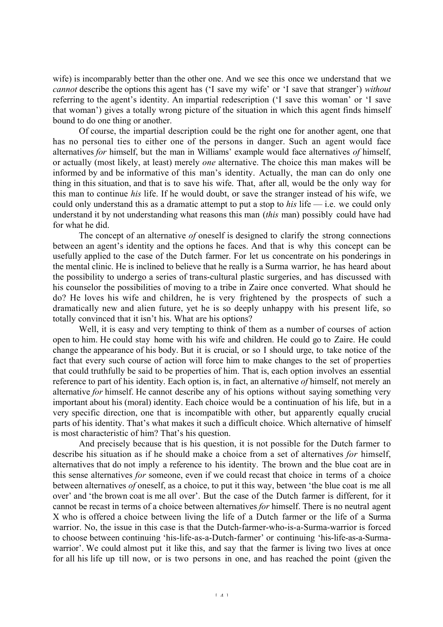wife) is incomparably better than the other one. And we see this once we understand that we *cannot* describe the options this agent has ('I save my wife' or 'I save that stranger') *without* referring to the agent's identity. An impartial redescription ('I save this woman' or 'I save that woman') gives a totally wrong picture of the situation in which this agent finds himself bound to do one thing or another.

Of course, the impartial description could be the right one for another agent, one that has no personal ties to either one of the persons in danger. Such an agent would face alternatives *for* himself, but the man in Williams' example would face alternatives *of* himself, or actually (most likely, at least) merely *one* alternative. The choice this man makes will be informed by and be informative of this man's identity. Actually, the man can do only one thing in this situation, and that is to save his wife. That, after all, would be the only way for this man to continue *his* life. If he would doubt, or save the stranger instead of his wife, we could only understand this as a dramatic attempt to put a stop to *his* life — i.e. we could only understand it by not understanding what reasons this man (*this* man) possibly could have had for what he did.

The concept of an alternative *of* oneself is designed to clarify the strong connections between an agent's identity and the options he faces. And that is why this concept can be usefully applied to the case of the Dutch farmer. For let us concentrate on his ponderings in the mental clinic. He is inclined to believe that he really is a Surma warrior, he has heard about the possibility to undergo a series of trans-cultural plastic surgeries, and has discussed with his counselor the possibilities of moving to a tribe in Zaire once converted. What should he do? He loves his wife and children, he is very frightened by the prospects of such a dramatically new and alien future, yet he is so deeply unhappy with his present life, so totally convinced that it isn't his. What are his options?

Well, it is easy and very tempting to think of them as a number of courses of action open to him. He could stay home with his wife and children. He could go to Zaire. He could change the appearance of his body. But it is crucial, or so I should urge, to take notice of the fact that every such course of action will force him to make changes to the set of properties that could truthfully be said to be properties of him. That is, each option involves an essential reference to part of his identity. Each option is, in fact, an alternative *of* himself, not merely an alternative *for* himself. He cannot describe any of his options without saying something very important about his (moral) identity. Each choice would be a continuation of his life, but in a very specific direction, one that is incompatible with other, but apparently equally crucial parts of his identity. That's what makes it such a difficult choice. Which alternative of himself is most characteristic of him? That's his question.

And precisely because that is his question, it is not possible for the Dutch farmer to describe his situation as if he should make a choice from a set of alternatives *for* himself, alternatives that do not imply a reference to his identity. The brown and the blue coat are in this sense alternatives *for* someone, even if we could recast that choice in terms of a choice between alternatives *of* oneself, as a choice, to put it this way, between 'the blue coat is me all over' and 'the brown coat is me all over'. But the case of the Dutch farmer is different, for it cannot be recast in terms of a choice between alternatives *for* himself. There is no neutral agent X who is offered a choice between living the life of a Dutch farmer or the life of a Surma warrior. No, the issue in this case is that the Dutch-farmer-who-is-a-Surma-warrior is forced to choose between continuing 'his-life-as-a-Dutch-farmer' or continuing 'his-life-as-a-Surmawarrior'. We could almost put it like this, and say that the farmer is living two lives at once for all his life up till now, or is two persons in one, and has reached the point (given the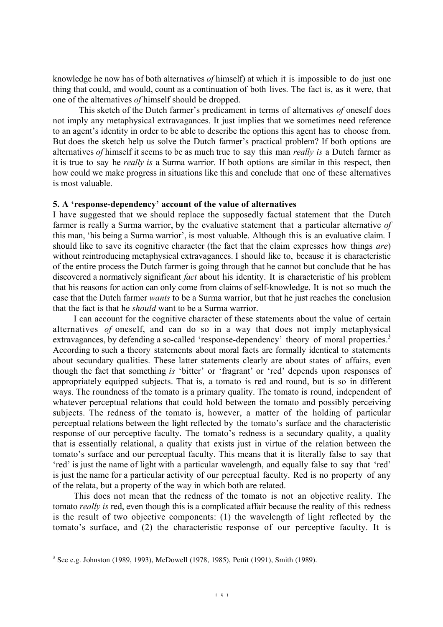knowledge he now has of both alternatives *of* himself) at which it is impossible to do just one thing that could, and would, count as a continuation of both lives. The fact is, as it were, that one of the alternatives *of* himself should be dropped.

This sketch of the Dutch farmer's predicament in terms of alternatives *of* oneself does not imply any metaphysical extravagances. It just implies that we sometimes need reference to an agent's identity in order to be able to describe the options this agent has to choose from. But does the sketch help us solve the Dutch farmer's practical problem? If both options are alternatives *of* himself it seems to be as much true to say this man *really is* a Dutch farmer as it is true to say he *really is* a Surma warrior. If both options are similar in this respect, then how could we make progress in situations like this and conclude that one of these alternatives is most valuable.

## **5. A 'response-dependency' account of the value of alternatives**

I have suggested that we should replace the supposedly factual statement that the Dutch farmer is really a Surma warrior, by the evaluative statement that a particular alternative *of* this man, 'his being a Surma warrior', is most valuable. Although this is an evaluative claim. I should like to save its cognitive character (the fact that the claim expresses how things *are*) without reintroducing metaphysical extravagances. I should like to, because it is characteristic of the entire process the Dutch farmer is going through that he cannot but conclude that he has discovered a normatively significant *fact* about his identity. It is characteristic of his problem that his reasons for action can only come from claims of self-knowledge. It is not so much the case that the Dutch farmer *wants* to be a Surma warrior, but that he just reaches the conclusion that the fact is that he *should* want to be a Surma warrior.

I can account for the cognitive character of these statements about the value of certain alternatives *of* oneself, and can do so in a way that does not imply metaphysical extravagances, by defending a so-called 'response-dependency' theory of moral properties.<sup>3</sup> According to such a theory statements about moral facts are formally identical to statements about secundary qualities. These latter statements clearly are about states of affairs, even though the fact that something *is* 'bitter' or 'fragrant' or 'red' depends upon responses of appropriately equipped subjects. That is, a tomato is red and round, but is so in different ways. The roundness of the tomato is a primary quality. The tomato is round, independent of whatever perceptual relations that could hold between the tomato and possibly perceiving subjects. The redness of the tomato is, however, a matter of the holding of particular perceptual relations between the light reflected by the tomato's surface and the characteristic response of our perceptive faculty. The tomato's redness is a secundary quality, a quality that is essentially relational, a quality that exists just in virtue of the relation between the tomato's surface and our perceptual faculty. This means that it is literally false to say that 'red' is just the name of light with a particular wavelength, and equally false to say that 'red' is just the name for a particular activity of our perceptual faculty. Red is no property of any of the relata, but a property of the way in which both are related.

This does not mean that the redness of the tomato is not an objective reality. The tomato *really is* red, even though this is a complicated affair because the reality of this redness is the result of two objective components: (1) the wavelength of light reflected by the tomato's surface, and (2) the characteristic response of our perceptive faculty. It is

 <sup>3</sup> See e.g. Johnston (1989, 1993), McDowell (1978, 1985), Pettit (1991), Smith (1989).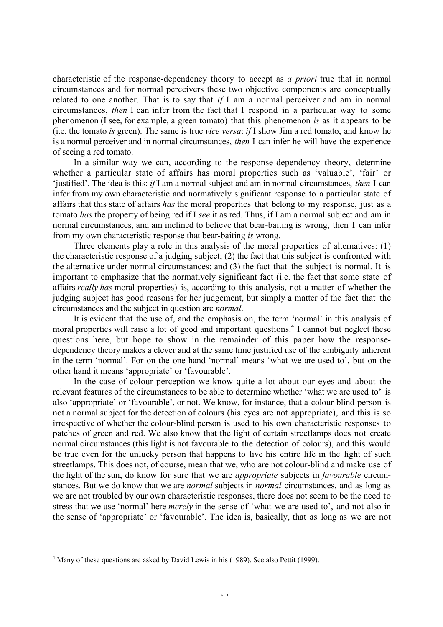characteristic of the response-dependency theory to accept as *a priori* true that in normal circumstances and for normal perceivers these two objective components are conceptually related to one another. That is to say that *if* I am a normal perceiver and am in normal circumstances, *then* I can infer from the fact that I respond in a particular way to some phenomenon (I see, for example, a green tomato) that this phenomenon *is* as it appears to be (i.e. the tomato *is* green). The same is true *vice versa*: *if* I show Jim a red tomato, and know he is a normal perceiver and in normal circumstances, *then* I can infer he will have the experience of seeing a red tomato.

In a similar way we can, according to the response-dependency theory, determine whether a particular state of affairs has moral properties such as 'valuable', 'fair' or 'justified'. The idea is this: *if* I am a normal subject and am in normal circumstances, *then* I can infer from my own characteristic and normatively significant response to a particular state of affairs that this state of affairs *has* the moral properties that belong to my response, just as a tomato *has* the property of being red if I *see* it as red. Thus, if I am a normal subject and am in normal circumstances, and am inclined to believe that bear-baiting is wrong, then I can infer from my own characteristic response that bear-baiting *is* wrong.

Three elements play a role in this analysis of the moral properties of alternatives: (1) the characteristic response of a judging subject; (2) the fact that this subject is confronted with the alternative under normal circumstances; and (3) the fact that the subject is normal. It is important to emphasize that the normatively significant fact (i.e. the fact that some state of affairs *really has* moral properties) is, according to this analysis, not a matter of whether the judging subject has good reasons for her judgement, but simply a matter of the fact that the circumstances and the subject in question are *normal*.

It is evident that the use of, and the emphasis on, the term 'normal' in this analysis of moral properties will raise a lot of good and important questions.<sup>4</sup> I cannot but neglect these questions here, but hope to show in the remainder of this paper how the responsedependency theory makes a clever and at the same time justified use of the ambiguity inherent in the term 'normal'. For on the one hand 'normal' means 'what we are used to', but on the other hand it means 'appropriate' or 'favourable'.

In the case of colour perception we know quite a lot about our eyes and about the relevant features of the circumstances to be able to determine whether 'what we are used to' is also 'appropriate' or 'favourable', or not. We know, for instance, that a colour-blind person is not a normal subject for the detection of colours (his eyes are not appropriate), and this is so irrespective of whether the colour-blind person is used to his own characteristic responses to patches of green and red. We also know that the light of certain streetlamps does not create normal circumstances (this light is not favourable to the detection of colours), and this would be true even for the unlucky person that happens to live his entire life in the light of such streetlamps. This does not, of course, mean that we, who are not colour-blind and make use of the light of the sun, do know for sure that we are *appropriate* subjects in *favourable* circumstances. But we do know that we are *normal* subjects in *normal* circumstances, and as long as we are not troubled by our own characteristic responses, there does not seem to be the need to stress that we use 'normal' here *merely* in the sense of 'what we are used to', and not also in the sense of 'appropriate' or 'favourable'. The idea is, basically, that as long as we are not

 <sup>4</sup> Many of these questions are asked by David Lewis in his (1989). See also Pettit (1999).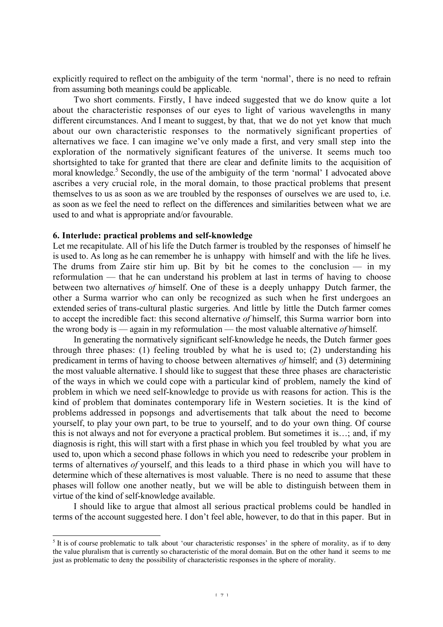explicitly required to reflect on the ambiguity of the term 'normal', there is no need to refrain from assuming both meanings could be applicable.

Two short comments. Firstly, I have indeed suggested that we do know quite a lot about the characteristic responses of our eyes to light of various wavelengths in many different circumstances. And I meant to suggest, by that, that we do not yet know that much about our own characteristic responses to the normatively significant properties of alternatives we face. I can imagine we've only made a first, and very small step into the exploration of the normatively significant features of the universe. It seems much too shortsighted to take for granted that there are clear and definite limits to the acquisition of moral knowledge.<sup>5</sup> Secondly, the use of the ambiguity of the term 'normal' I advocated above ascribes a very crucial role, in the moral domain, to those practical problems that present themselves to us as soon as we are troubled by the responses of ourselves we are used to, i.e. as soon as we feel the need to reflect on the differences and similarities between what we are used to and what is appropriate and/or favourable.

#### **6. Interlude: practical problems and self-knowledge**

Let me recapitulate. All of his life the Dutch farmer is troubled by the responses of himself he is used to. As long as he can remember he is unhappy with himself and with the life he lives. The drums from Zaire stir him up. Bit by bit he comes to the conclusion — in my reformulation — that he can understand his problem at last in terms of having to choose between two alternatives *of* himself. One of these is a deeply unhappy Dutch farmer, the other a Surma warrior who can only be recognized as such when he first undergoes an extended series of trans-cultural plastic surgeries. And little by little the Dutch farmer comes to accept the incredible fact: this second alternative *of* himself, this Surma warrior born into the wrong body is — again in my reformulation — the most valuable alternative *of* himself.

In generating the normatively significant self-knowledge he needs, the Dutch farmer goes through three phases: (1) feeling troubled by what he is used to; (2) understanding his predicament in terms of having to choose between alternatives *of* himself; and (3) determining the most valuable alternative. I should like to suggest that these three phases are characteristic of the ways in which we could cope with a particular kind of problem, namely the kind of problem in which we need self-knowledge to provide us with reasons for action. This is the kind of problem that dominates contemporary life in Western societies. It is the kind of problems addressed in popsongs and advertisements that talk about the need to become yourself, to play your own part, to be true to yourself, and to do your own thing. Of course this is not always and not for everyone a practical problem. But sometimes it is…; and, if my diagnosis is right, this will start with a first phase in which you feel troubled by what you are used to, upon which a second phase follows in which you need to redescribe your problem in terms of alternatives *of* yourself, and this leads to a third phase in which you will have to determine which of these alternatives is most valuable. There is no need to assume that these phases will follow one another neatly, but we will be able to distinguish between them in virtue of the kind of self-knowledge available.

I should like to argue that almost all serious practical problems could be handled in terms of the account suggested here. I don't feel able, however, to do that in this paper. But in

 $<sup>5</sup>$  It is of course problematic to talk about 'our characteristic responses' in the sphere of morality, as if to deny</sup> the value pluralism that is currently so characteristic of the moral domain. But on the other hand it seems to me just as problematic to deny the possibility of characteristic responses in the sphere of morality.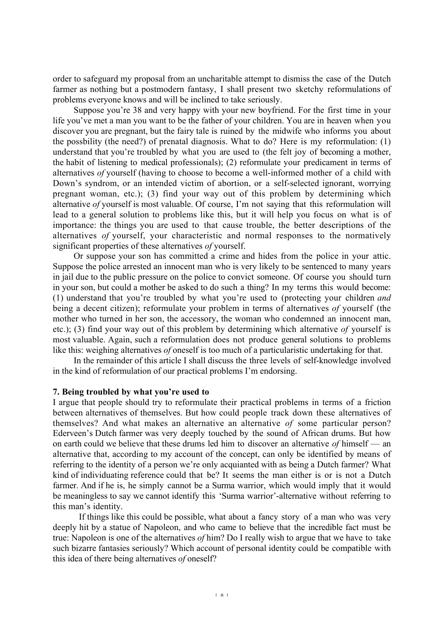order to safeguard my proposal from an uncharitable attempt to dismiss the case of the Dutch farmer as nothing but a postmodern fantasy, I shall present two sketchy reformulations of problems everyone knows and will be inclined to take seriously.

Suppose you're 38 and very happy with your new boyfriend. For the first time in your life you've met a man you want to be the father of your children. You are in heaven when you discover you are pregnant, but the fairy tale is ruined by the midwife who informs you about the possbility (the need?) of prenatal diagnosis. What to do? Here is my reformulation: (1) understand that you're troubled by what you are used to (the felt joy of becoming a mother, the habit of listening to medical professionals); (2) reformulate your predicament in terms of alternatives *of* yourself (having to choose to become a well-informed mother of a child with Down's syndrom, or an intended victim of abortion, or a self-selected ignorant, worrying pregnant woman, etc.); (3) find your way out of this problem by determining which alternative *of* yourself is most valuable. Of course, I'm not saying that this reformulation will lead to a general solution to problems like this, but it will help you focus on what is of importance: the things you are used to that cause trouble, the better descriptions of the alternatives *of* yourself, your characteristic and normal responses to the normatively significant properties of these alternatives *of* yourself.

Or suppose your son has committed a crime and hides from the police in your attic. Suppose the police arrested an innocent man who is very likely to be sentenced to many years in jail due to the public pressure on the police to convict someone. Of course you should turn in your son, but could a mother be asked to do such a thing? In my terms this would become: (1) understand that you're troubled by what you're used to (protecting your children *and* being a decent citizen); reformulate your problem in terms of alternatives *of* yourself (the mother who turned in her son, the accessory, the woman who condemned an innocent man, etc.); (3) find your way out of this problem by determining which alternative *of* yourself is most valuable. Again, such a reformulation does not produce general solutions to problems like this: weighing alternatives *of* oneself is too much of a particularistic undertaking for that.

In the remainder of this article I shall discuss the three levels of self-knowledge involved in the kind of reformulation of our practical problems I'm endorsing.

#### **7. Being troubled by what you're used to**

I argue that people should try to reformulate their practical problems in terms of a friction between alternatives of themselves. But how could people track down these alternatives of themselves? And what makes an alternative an alternative *of* some particular person? Ederveen's Dutch farmer was very deeply touched by the sound of African drums. But how on earth could we believe that these drums led him to discover an alternative *of* himself — an alternative that, according to my account of the concept, can only be identified by means of referring to the identity of a person we're only acquianted with as being a Dutch farmer? What kind of individuating reference could that be? It seems the man either is or is not a Dutch farmer. And if he is, he simply cannot be a Surma warrior, which would imply that it would be meaningless to say we cannot identify this 'Surma warrior'-alternative without referring to this man's identity.

If things like this could be possible, what about a fancy story of a man who was very deeply hit by a statue of Napoleon, and who came to believe that the incredible fact must be true: Napoleon is one of the alternatives *of* him? Do I really wish to argue that we have to take such bizarre fantasies seriously? Which account of personal identity could be compatible with this idea of there being alternatives *of* oneself?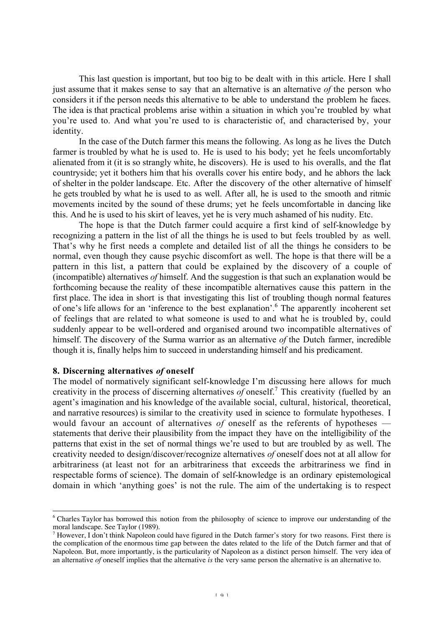This last question is important, but too big to be dealt with in this article. Here I shall just assume that it makes sense to say that an alternative is an alternative *of* the person who considers it if the person needs this alternative to be able to understand the problem he faces. The idea is that practical problems arise within a situation in which you're troubled by what you're used to. And what you're used to is characteristic of, and characterised by, your identity.

In the case of the Dutch farmer this means the following. As long as he lives the Dutch farmer is troubled by what he is used to. He is used to his body; yet he feels uncomfortably alienated from it (it is so strangly white, he discovers). He is used to his overalls, and the flat countryside; yet it bothers him that his overalls cover his entire body, and he abhors the lack of shelter in the polder landscape. Etc. After the discovery of the other alternative of himself he gets troubled by what he is used to as well. After all, he is used to the smooth and ritmic movements incited by the sound of these drums; yet he feels uncomfortable in dancing like this. And he is used to his skirt of leaves, yet he is very much ashamed of his nudity. Etc.

The hope is that the Dutch farmer could acquire a first kind of self-knowledge by recognizing a pattern in the list of all the things he is used to but feels troubled by as well. That's why he first needs a complete and detailed list of all the things he considers to be normal, even though they cause psychic discomfort as well. The hope is that there will be a pattern in this list, a pattern that could be explained by the discovery of a couple of (incompatible) alternatives *of* himself. And the suggestion is that such an explanation would be forthcoming because the reality of these incompatible alternatives cause this pattern in the first place. The idea in short is that investigating this list of troubling though normal features of one's life allows for an 'inference to the best explanation'.6 The apparently incoherent set of feelings that are related to what someone is used to and what he is troubled by, could suddenly appear to be well-ordered and organised around two incompatible alternatives of himself. The discovery of the Surma warrior as an alternative *of* the Dutch farmer, incredible though it is, finally helps him to succeed in understanding himself and his predicament.

## **8. Discerning alternatives** *of* **oneself**

The model of normatively significant self-knowledge I'm discussing here allows for much creativity in the process of discerning alternatives *of* oneself.7 This creativity (fuelled by an agent's imagination and his knowledge of the available social, cultural, historical, theoretical, and narrative resources) is similar to the creativity used in science to formulate hypotheses. I would favour an account of alternatives *of* oneself as the referents of hypotheses statements that derive their plausibility from the impact they have on the intelligibility of the patterns that exist in the set of normal things we're used to but are troubled by as well. The creativity needed to design/discover/recognize alternatives *of* oneself does not at all allow for arbitrariness (at least not for an arbitrariness that exceeds the arbitrariness we find in respectable forms of science). The domain of self-knowledge is an ordinary epistemological domain in which 'anything goes' is not the rule. The aim of the undertaking is to respect

<sup>&</sup>lt;sup>6</sup> Charles Taylor has borrowed this notion from the philosophy of science to improve our understanding of the moral landscape. See Taylor (1989).

 $<sup>7</sup>$  However, I don't think Napoleon could have figured in the Dutch farmer's story for two reasons. First there is</sup> the complication of the enormous time gap between the dates related to the life of the Dutch farmer and that of Napoleon. But, more importantly, is the particularity of Napoleon as a distinct person himself. The very idea of an alternative *of* oneself implies that the alternative *is* the very same person the alternative is an alternative to.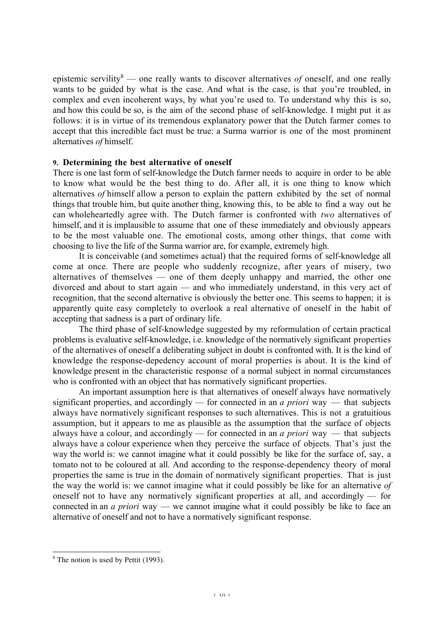epistemic servility<sup>8</sup> — one really wants to discover alternatives *of* oneself, and one really wants to be guided by what is the case. And what is the case, is that you're troubled, in complex and even incoherent ways, by what you're used to. To understand why this is so, and how this could be so, is the aim of the second phase of self-knowledge. I might put it as follows: it is in virtue of its tremendous explanatory power that the Dutch farmer comes to accept that this incredible fact must be true: a Surma warrior is one of the most prominent alternatives *of* himself.

## **9. Determining the best alternative of oneself**

There is one last form of self-knowledge the Dutch farmer needs to acquire in order to be able to know what would be the best thing to do. After all, it is one thing to know which alternatives *of* himself allow a person to explain the pattern exhibited by the set of normal things that trouble him, but quite another thing, knowing this, to be able to find a way out he can wholeheartedly agree with. The Dutch farmer is confronted with *two* alternatives of himself, and it is implausible to assume that one of these immediately and obviously appears to be the most valuable one. The emotional costs, among other things, that come with choosing to live the life of the Surma warrior are, for example, extremely high.

It is conceivable (and sometimes actual) that the required forms of self-knowledge all come at once. There are people who suddenly recognize, after years of misery, two alternatives of themselves — one of them deeply unhappy and married, the other one divorced and about to start again — and who immediately understand, in this very act of recognition, that the second alternative is obviously the better one. This seems to happen; it is apparently quite easy completely to overlook a real alternative of oneself in the habit of accepting that sadness is a part of ordinary life.

The third phase of self-knowledge suggested by my reformulation of certain practical problems is evaluative self-knowledge, i.e. knowledge of the normatively significant properties of the alternatives of oneself a deliberating subject in doubt is confronted with. It is the kind of knowledge the response-depedency account of moral properties is about. It is the kind of knowledge present in the characteristic response of a normal subject in normal circumstances who is confronted with an object that has normatively significant properties.

An important assumption here is that alternatives of oneself always have normatively significant properties, and accordingly — for connected in an *a priori* way — that subjects always have normatively significant responses to such alternatives. This is not a gratuitious assumption, but it appears to me as plausible as the assumption that the surface of objects always have a colour, and accordingly — for connected in an *a priori* way — that subjects always have a colour experience when they perceive the surface of objects. That's just the way the world is: we cannot imagine what it could possibly be like for the surface of, say, a tomato not to be coloured at all. And according to the response-dependency theory of moral properties the same is true in the domain of normatively significant properties. That is just the way the world is: we cannot imagine what it could possibly be like for an alternative *of* oneself not to have any normatively significant properties at all, and accordingly — for connected in an *a priori* way — we cannot imagine what it could possibly be like to face an alternative of oneself and not to have a normatively significant response.

 $\overline{a}$ <sup>8</sup> The notion is used by Pettit (1993).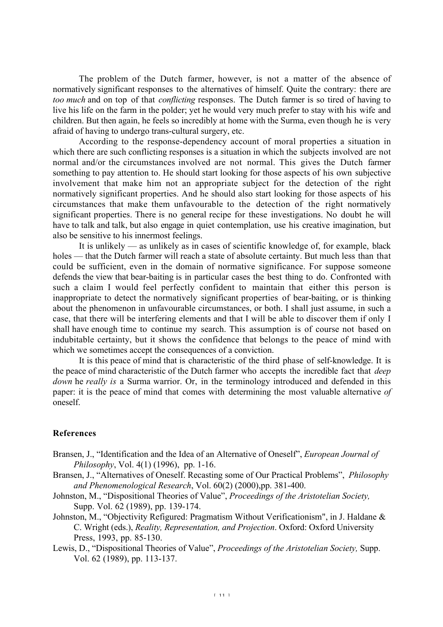The problem of the Dutch farmer, however, is not a matter of the absence of normatively significant responses to the alternatives of himself. Quite the contrary: there are *too much* and on top of that *conflicting* responses. The Dutch farmer is so tired of having to live his life on the farm in the polder; yet he would very much prefer to stay with his wife and children. But then again, he feels so incredibly at home with the Surma, even though he is very afraid of having to undergo trans-cultural surgery, etc.

According to the response-dependency account of moral properties a situation in which there are such conflicting responses is a situation in which the subjects involved are not normal and/or the circumstances involved are not normal. This gives the Dutch farmer something to pay attention to. He should start looking for those aspects of his own subjective involvement that make him not an appropriate subject for the detection of the right normatively significant properties. And he should also start looking for those aspects of his circumstances that make them unfavourable to the detection of the right normatively significant properties. There is no general recipe for these investigations. No doubt he will have to talk and talk, but also engage in quiet contemplation, use his creative imagination, but also be sensitive to his innermost feelings.

It is unlikely — as unlikely as in cases of scientific knowledge of, for example, black holes — that the Dutch farmer will reach a state of absolute certainty. But much less than that could be sufficient, even in the domain of normative significance. For suppose someone defends the view that bear-baiting is in particular cases the best thing to do. Confronted with such a claim I would feel perfectly confident to maintain that either this person is inappropriate to detect the normatively significant properties of bear-baiting, or is thinking about the phenomenon in unfavourable circumstances, or both. I shall just assume, in such a case, that there will be interfering elements and that I will be able to discover them if only I shall have enough time to continue my search. This assumption is of course not based on indubitable certainty, but it shows the confidence that belongs to the peace of mind with which we sometimes accept the consequences of a conviction.

It is this peace of mind that is characteristic of the third phase of self-knowledge. It is the peace of mind characteristic of the Dutch farmer who accepts the incredible fact that *deep down* he *really is* a Surma warrior. Or, in the terminology introduced and defended in this paper: it is the peace of mind that comes with determining the most valuable alternative *of* oneself.

#### **References**

- Bransen, J., "Identification and the Idea of an Alternative of Oneself", *European Journal of Philosophy*, Vol. 4(1) (1996), pp. 1-16.
- Bransen, J., "Alternatives of Oneself. Recasting some of Our Practical Problems", *Philosophy and Phenomenological Research*, Vol. 60(2) (2000),pp. 381-400.
- Johnston, M., "Dispositional Theories of Value", *Proceedings of the Aristotelian Society,* Supp. Vol. 62 (1989), pp. 139-174.
- Johnston, M., "Objectivity Refigured: Pragmatism Without Verificationism", in J. Haldane & C. Wright (eds.), *Reality, Representation, and Projection*. Oxford: Oxford University Press, 1993, pp. 85-130.
- Lewis, D., "Dispositional Theories of Value", *Proceedings of the Aristotelian Society,* Supp. Vol. 62 (1989), pp. 113-137.